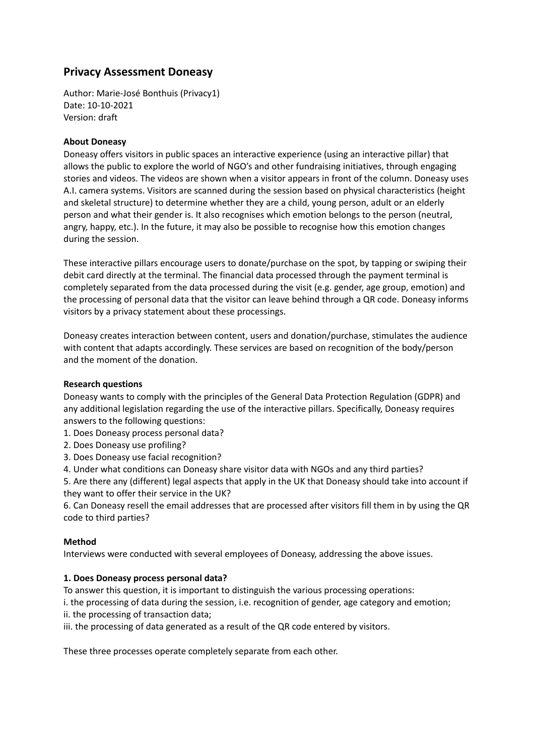# **Privacy Assessment Doneasy**

Author: Marie-José Bonthuis (Privacy1) Date: 10-10-2021 Version: draft

### **About Doneasy**

Doneasy offers visitors in public spaces an interactive experience (using an interactive pillar) that allows the public to explore the world of NGO's and other fundraising initiatives, through engaging stories and videos. The videos are shown when a visitor appears in front of the column. Doneasy uses A.I. camera systems. Visitors are scanned during the session based on physical characteristics (height and skeletal structure) to determine whether they are a child, young person, adult or an elderly person and what their gender is. It also recognises which emotion belongs to the person (neutral, angry, happy, etc.). In the future, it may also be possible to recognise how this emotion changes during the session.

These interactive pillars encourage users to donate/purchase on the spot, by tapping or swiping their debit card directly at the terminal. The financial data processed through the payment terminal is completely separated from the data processed during the visit (e.g. gender, age group, emotion) and the processing of personal data that the visitor can leave behind through a QR code. Doneasy informs visitors by a privacy statement about these processings.

Doneasy creates interaction between content, users and donation/purchase, stimulates the audience with content that adapts accordingly. These services are based on recognition of the body/person and the moment of the donation.

### **Research questions**

Doneasy wants to comply with the principles of the General Data Protection Regulation (GDPR) and any additional legislation regarding the use of the interactive pillars. Specifically, Doneasy requires answers to the following questions:

- 1. Does Doneasy process personal data?
- 2. Does Doneasy use profiling?
- 3. Does Doneasy use facial recognition?
- 4. Under what conditions can Doneasy share visitor data with NGOs and any third parties?

5. Are there any (different) legal aspects that apply in the UK that Doneasy should take into account if they want to offer their service in the UK?

6. Can Doneasy resell the email addresses that are processed after visitors fill them in by using the QR code to third parties?

### **Method**

Interviews were conducted with several employees of Doneasy, addressing the above issues.

### **1. Does Doneasy process personal data?**

To answer this question, it is important to distinguish the various processing operations:

i. the processing of data during the session, i.e. recognition of gender, age category and emotion;

- ii. the processing of transaction data;
- iii. the processing of data generated as a result of the QR code entered by visitors.

These three processes operate completely separate from each other.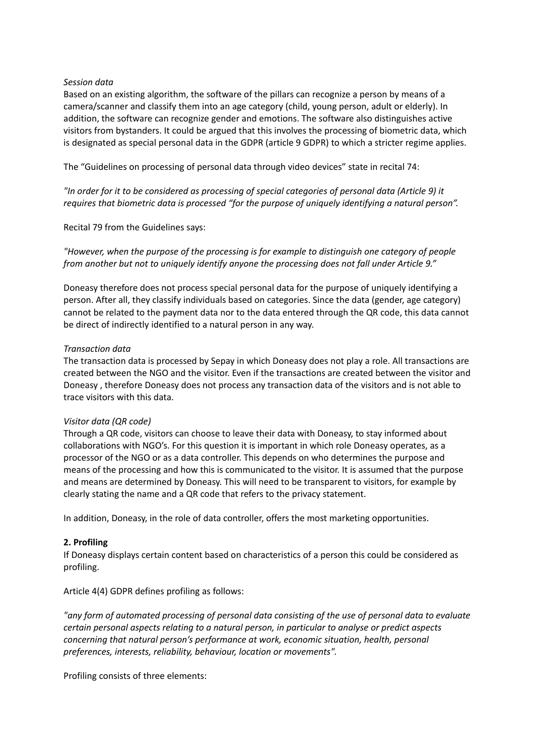#### *Session data*

Based on an existing algorithm, the software of the pillars can recognize a person by means of a camera/scanner and classify them into an age category (child, young person, adult or elderly). In addition, the software can recognize gender and emotions. The software also distinguishes active visitors from bystanders. It could be argued that this involves the processing of biometric data, which is designated as special personal data in the GDPR (article 9 GDPR) to which a stricter regime applies.

The "Guidelines on processing of personal data through video devices" state in recital 74:

"In order for it to be considered as processing of special categories of personal data (Article 9) it *requires that biometric data is processed "for the purpose of uniquely identifying a natural person".*

Recital 79 from the Guidelines says:

*"However, when the purpose of the processing is for example to distinguish one category of people from another but not to uniquely identify anyone the processing does not fall under Article 9."*

Doneasy therefore does not process special personal data for the purpose of uniquely identifying a person. After all, they classify individuals based on categories. Since the data (gender, age category) cannot be related to the payment data nor to the data entered through the QR code, this data cannot be direct of indirectly identified to a natural person in any way.

#### *Transaction data*

The transaction data is processed by Sepay in which Doneasy does not play a role. All transactions are created between the NGO and the visitor. Even if the transactions are created between the visitor and Doneasy , therefore Doneasy does not process any transaction data of the visitors and is not able to trace visitors with this data.

### *Visitor data (QR code)*

Through a QR code, visitors can choose to leave their data with Doneasy, to stay informed about collaborations with NGO's. For this question it is important in which role Doneasy operates, as a processor of the NGO or as a data controller. This depends on who determines the purpose and means of the processing and how this is communicated to the visitor. It is assumed that the purpose and means are determined by Doneasy. This will need to be transparent to visitors, for example by clearly stating the name and a QR code that refers to the privacy statement.

In addition, Doneasy, in the role of data controller, offers the most marketing opportunities.

### **2. Profiling**

If Doneasy displays certain content based on characteristics of a person this could be considered as profiling.

Article 4(4) GDPR defines profiling as follows:

*"any form of automated processing of personal data consisting of the use of personal data to evaluate certain personal aspects relating to a natural person, in particular to analyse or predict aspects concerning that natural person's performance at work, economic situation, health, personal preferences, interests, reliability, behaviour, location or movements".*

Profiling consists of three elements: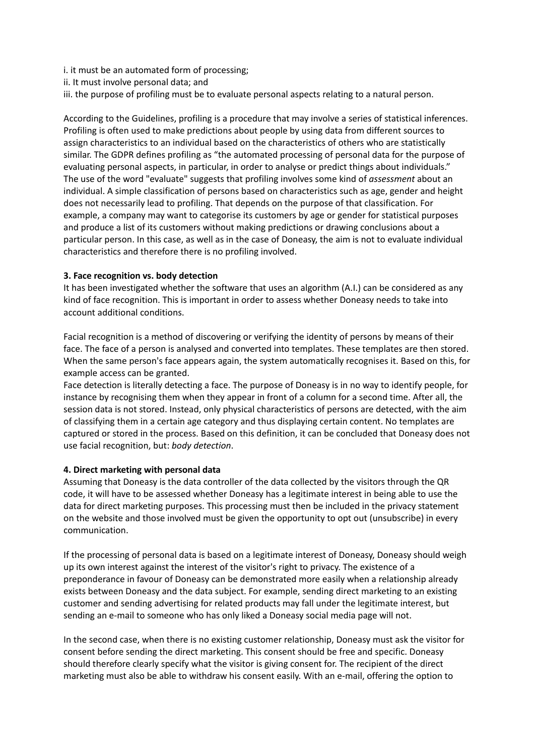i. it must be an automated form of processing;

- ii. It must involve personal data; and
- iii. the purpose of profiling must be to evaluate personal aspects relating to a natural person.

According to the Guidelines, profiling is a procedure that may involve a series of statistical inferences. Profiling is often used to make predictions about people by using data from different sources to assign characteristics to an individual based on the characteristics of others who are statistically similar. The GDPR defines profiling as "the automated processing of personal data for the purpose of evaluating personal aspects, in particular, in order to analyse or predict things about individuals." The use of the word "evaluate" suggests that profiling involves some kind of *assessment* about an individual. A simple classification of persons based on characteristics such as age, gender and height does not necessarily lead to profiling. That depends on the purpose of that classification. For example, a company may want to categorise its customers by age or gender for statistical purposes and produce a list of its customers without making predictions or drawing conclusions about a particular person. In this case, as well as in the case of Doneasy, the aim is not to evaluate individual characteristics and therefore there is no profiling involved.

#### **3. Face recognition vs. body detection**

It has been investigated whether the software that uses an algorithm (A.I.) can be considered as any kind of face recognition. This is important in order to assess whether Doneasy needs to take into account additional conditions.

Facial recognition is a method of discovering or verifying the identity of persons by means of their face. The face of a person is analysed and converted into templates. These templates are then stored. When the same person's face appears again, the system automatically recognises it. Based on this, for example access can be granted.

Face detection is literally detecting a face. The purpose of Doneasy is in no way to identify people, for instance by recognising them when they appear in front of a column for a second time. After all, the session data is not stored. Instead, only physical characteristics of persons are detected, with the aim of classifying them in a certain age category and thus displaying certain content. No templates are captured or stored in the process. Based on this definition, it can be concluded that Doneasy does not use facial recognition, but: *body detection*.

#### **4. Direct marketing with personal data**

Assuming that Doneasy is the data controller of the data collected by the visitors through the QR code, it will have to be assessed whether Doneasy has a legitimate interest in being able to use the data for direct marketing purposes. This processing must then be included in the privacy statement on the website and those involved must be given the opportunity to opt out (unsubscribe) in every communication.

If the processing of personal data is based on a legitimate interest of Doneasy, Doneasy should weigh up its own interest against the interest of the visitor's right to privacy. The existence of a preponderance in favour of Doneasy can be demonstrated more easily when a relationship already exists between Doneasy and the data subject. For example, sending direct marketing to an existing customer and sending advertising for related products may fall under the legitimate interest, but sending an e-mail to someone who has only liked a Doneasy social media page will not.

In the second case, when there is no existing customer relationship, Doneasy must ask the visitor for consent before sending the direct marketing. This consent should be free and specific. Doneasy should therefore clearly specify what the visitor is giving consent for. The recipient of the direct marketing must also be able to withdraw his consent easily. With an e-mail, offering the option to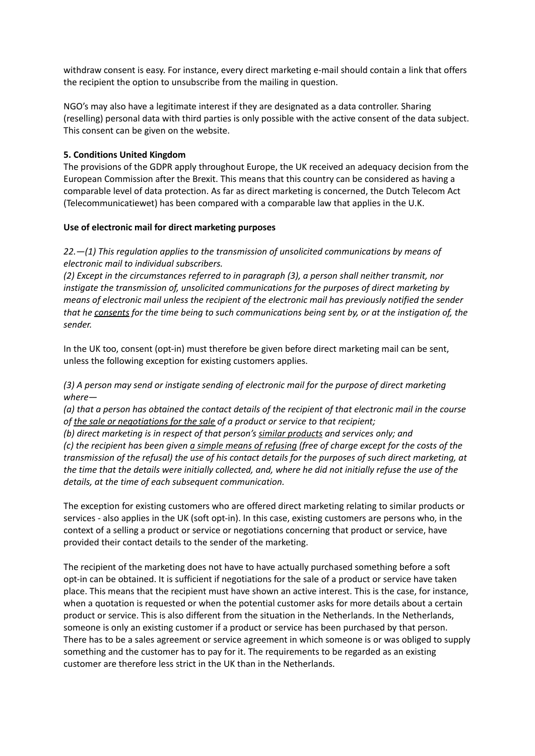withdraw consent is easy. For instance, every direct marketing e-mail should contain a link that offers the recipient the option to unsubscribe from the mailing in question.

NGO's may also have a legitimate interest if they are designated as a data controller. Sharing (reselling) personal data with third parties is only possible with the active consent of the data subject. This consent can be given on the website.

### **5. Conditions United Kingdom**

The provisions of the GDPR apply throughout Europe, the UK received an adequacy decision from the European Commission after the Brexit. This means that this country can be considered as having a comparable level of data protection. As far as direct marketing is concerned, the Dutch Telecom Act (Telecommunicatiewet) has been compared with a comparable law that applies in the U.K.

### **Use of electronic mail for direct marketing purposes**

## *22.—(1) This regulation applies to the transmission of unsolicited communications by means of electronic mail to individual subscribers.*

*(2) Except in the circumstances referred to in paragraph (3), a person shall neither transmit, nor instigate the transmission of, unsolicited communications for the purposes of direct marketing by means of electronic mail unless the recipient of the electronic mail has previously notified the sender* that he consents for the time being to such communications being sent by, or at the instigation of, the *sender.*

In the UK too, consent (opt-in) must therefore be given before direct marketing mail can be sent, unless the following exception for existing customers applies.

*(3) A person may send or instigate sending of electronic mail for the purpose of direct marketing where—*

(a) that a person has obtained the contact details of the recipient of that electronic mail in the course *of the sale or negotiations for the sale of a product or service to that recipient;*

*(b) direct marketing is in respect of that person's similar products and services only; and* (c) the recipient has been given a simple means of refusing (free of charge except for the costs of the transmission of the refusal) the use of his contact details for the purposes of such direct marketing, at the time that the details were initially collected, and, where he did not initially refuse the use of the *details, at the time of each subsequent communication.*

The exception for existing customers who are offered direct marketing relating to similar products or services - also applies in the UK (soft opt-in). In this case, existing customers are persons who, in the context of a selling a product or service or negotiations concerning that product or service, have provided their contact details to the sender of the marketing.

The recipient of the marketing does not have to have actually purchased something before a soft opt-in can be obtained. It is sufficient if negotiations for the sale of a product or service have taken place. This means that the recipient must have shown an active interest. This is the case, for instance, when a quotation is requested or when the potential customer asks for more details about a certain product or service. This is also different from the situation in the Netherlands. In the Netherlands, someone is only an existing customer if a product or service has been purchased by that person. There has to be a sales agreement or service agreement in which someone is or was obliged to supply something and the customer has to pay for it. The requirements to be regarded as an existing customer are therefore less strict in the UK than in the Netherlands.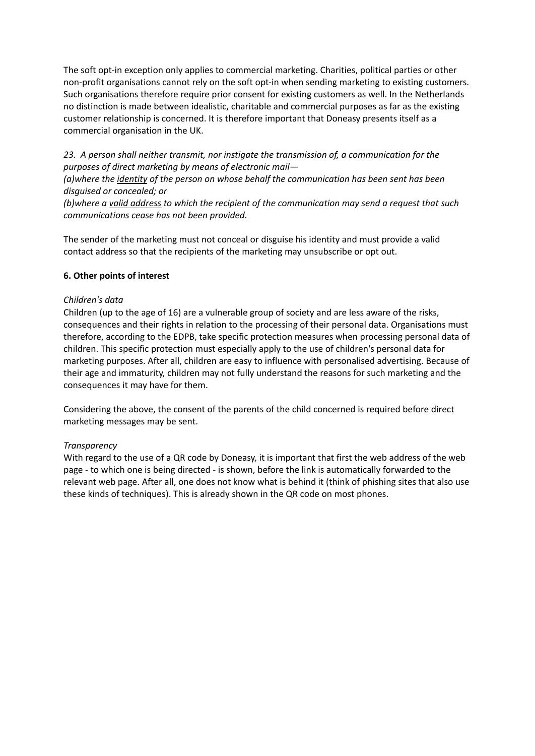The soft opt-in exception only applies to commercial marketing. Charities, political parties or other non-profit organisations cannot rely on the soft opt-in when sending marketing to existing customers. Such organisations therefore require prior consent for existing customers as well. In the Netherlands no distinction is made between idealistic, charitable and commercial purposes as far as the existing customer relationship is concerned. It is therefore important that Doneasy presents itself as a commercial organisation in the UK.

*23. A person shall neither transmit, nor instigate the transmission of, a communication for the purposes of direct marketing by means of electronic mail—*

*(a)where the identity of the person on whose behalf the communication has been sent has been disguised or concealed; or*

*(b)where a valid address to which the recipient of the communication may send a request that such communications cease has not been provided.*

The sender of the marketing must not conceal or disguise his identity and must provide a valid contact address so that the recipients of the marketing may unsubscribe or opt out.

### **6. Other points of interest**

### *Children's data*

Children (up to the age of 16) are a vulnerable group of society and are less aware of the risks, consequences and their rights in relation to the processing of their personal data. Organisations must therefore, according to the EDPB, take specific protection measures when processing personal data of children. This specific protection must especially apply to the use of children's personal data for marketing purposes. After all, children are easy to influence with personalised advertising. Because of their age and immaturity, children may not fully understand the reasons for such marketing and the consequences it may have for them.

Considering the above, the consent of the parents of the child concerned is required before direct marketing messages may be sent.

### *Transparency*

With regard to the use of a QR code by Doneasy, it is important that first the web address of the web page - to which one is being directed - is shown, before the link is automatically forwarded to the relevant web page. After all, one does not know what is behind it (think of phishing sites that also use these kinds of techniques). This is already shown in the QR code on most phones.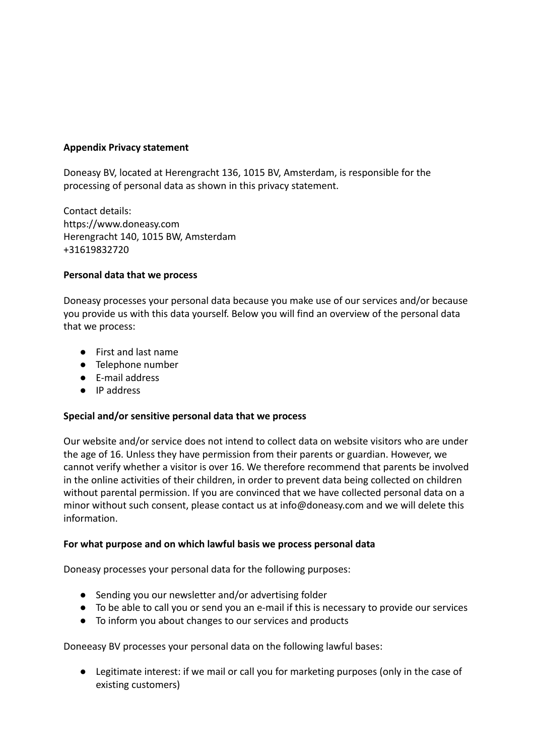## **Appendix Privacy statement**

Doneasy BV, located at Herengracht 136, 1015 BV, Amsterdam, is responsible for the processing of personal data as shown in this privacy statement.

Contact details: https://www.doneasy.com Herengracht 140, 1015 BW, Amsterdam +31619832720

## **Personal data that we process**

Doneasy processes your personal data because you make use of our services and/or because you provide us with this data yourself. Below you will find an overview of the personal data that we process:

- First and last name
- Telephone number
- E-mail address
- IP address

## **Special and/or sensitive personal data that we process**

Our website and/or service does not intend to collect data on website visitors who are under the age of 16. Unless they have permission from their parents or guardian. However, we cannot verify whether a visitor is over 16. We therefore recommend that parents be involved in the online activities of their children, in order to prevent data being collected on children without parental permission. If you are convinced that we have collected personal data on a minor without such consent, please contact us at info@doneasy.com and we will delete this information.

## **For what purpose and on which lawful basis we process personal data**

Doneasy processes your personal data for the following purposes:

- Sending you our newsletter and/or advertising folder
- To be able to call you or send you an e-mail if this is necessary to provide our services
- To inform you about changes to our services and products

Doneeasy BV processes your personal data on the following lawful bases:

● Legitimate interest: if we mail or call you for marketing purposes (only in the case of existing customers)